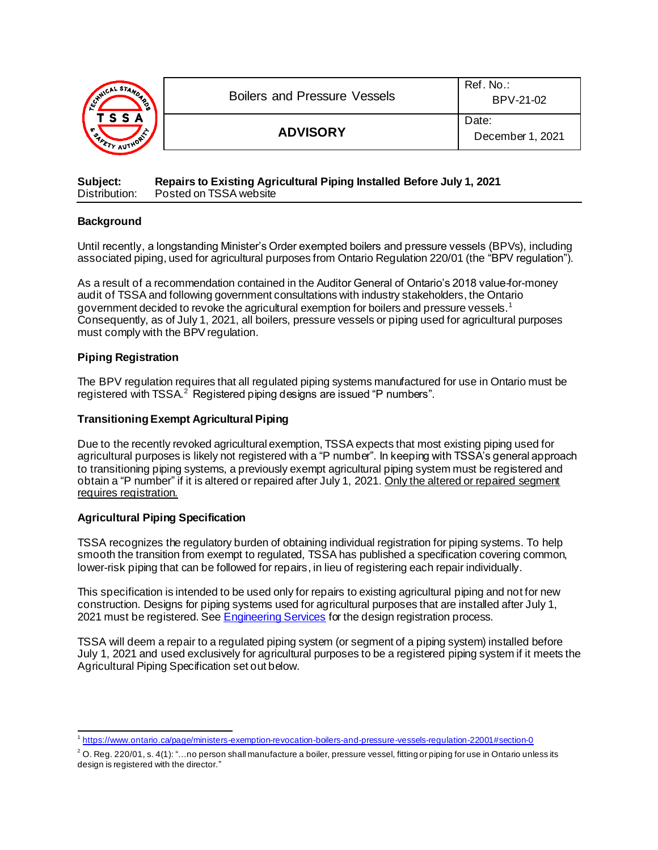| <b>ANICAL STAND</b><br>૾ૺૢૺ<br>ГSSA<br><b>J</b> | <b>Boilers and Pressure Vessels</b> | Ref. No.:<br>BPV-21-02    |  |
|-------------------------------------------------|-------------------------------------|---------------------------|--|
|                                                 | <b>ADVISORY</b>                     | Date:<br>December 1, 2021 |  |

| Subject:      | Repairs to Existing Agricultural Piping Installed Before July 1, 2021 |
|---------------|-----------------------------------------------------------------------|
| Distribution: | Posted on TSSA website                                                |

### **Background**

Until recently, a longstanding Minister's Order exempted boilers and pressure vessels (BPVs), including associated piping, used for agricultural purposes from Ontario Regulation 220/01 (the "BPV regulation").

As a result of a recommendation contained in the Auditor General of Ontario's 2018 value-for-money audit of TSSA and following government consultations with industry stakeholders, the Ontario government decided to revoke the agricultural exemption for boilers and pressure vessels.<sup>1</sup> Consequently, as of July 1, 2021, all boilers, pressure vessels or piping used for agricultural purposes must comply with the BPV regulation.

### **Piping Registration**

The BPV regulation requires that all regulated piping systems manufactured for use in Ontario must be registered with TSSA.<sup>2</sup> Registered piping designs are issued "P numbers".

### **Transitioning Exempt Agricultural Piping**

Due to the recently revoked agricultural exemption, TSSA expects that most existing piping used for agricultural purposes is likely not registered with a "P number". In keeping with TSSA's general approach to transitioning piping systems, a previously exempt agricultural piping system must be registered and obtain a "P number" if it is altered or repaired after July 1, 2021. Only the altered or repaired segment requires registration.

### **Agricultural Piping Specification**

TSSA recognizes the regulatory burden of obtaining individual registration for piping systems. To help smooth the transition from exempt to regulated, TSSA has published a specification covering common, lower-risk piping that can be followed for repairs, in lieu of registering each repair individually.

This specification is intended to be used only for repairs to existing agricultural piping and not for new construction. Designs for piping systems used for agricultural purposes that are installed after July 1, 2021 must be registered. Se[e Engineering Services](https://www.tssa.org/en/boilers-pressure-vessels/engineering-services.aspx) for the design registration process.

TSSA will deem a repair to a regulated piping system (or segment of a piping system) installed before July 1, 2021 and used exclusively for agricultural purposes to be a registered piping system if it meets the Agricultural Piping Specification set out below.

<sup>1</sup> <https://www.ontario.ca/page/ministers-exemption-revocation-boilers-and-pressure-vessels-regulation-22001#section-0>

 $^2$  O. Reg. 220/01, s. 4(1): "...no person shall manufacture a boiler, pressure vessel, fitting or piping for use in Ontario unless its design is registered with the director."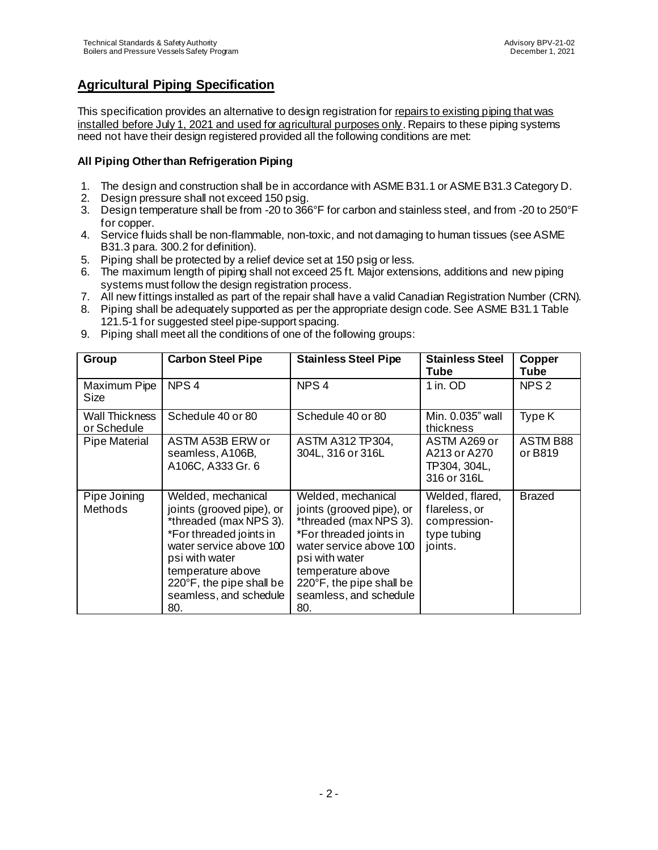# **Agricultural Piping Specification**

This specification provides an alternative to design registration for repairs to existing piping that was installed before July 1, 2021 and used for agricultural purposes only. Repairs to these piping systems need not have their design registered provided all the following conditions are met:

## **All Piping Other than Refrigeration Piping**

- 1. The design and construction shall be in accordance with ASME B31.1 or ASME B31.3 Category D.
- 2. Design pressure shall not exceed 150 psig.
- 3. Design temperature shall be from -20 to 366°F for carbon and stainless steel, and from -20 to 250°F for copper.
- 4. Service fluids shall be non-flammable, non-toxic, and not damaging to human tissues (see ASME B31.3 para. 300.2 for definition).
- 5. Piping shall be protected by a relief device set at 150 psig or less.
- 6. The maximum length of piping shall not exceed 25 ft. Major extensions, additions and new piping systems must follow the design registration process.
- 7. All new fittings installed as part of the repair shall have a valid Canadian Registration Number (CRN).
- 8. Piping shall be adequately supported as per the appropriate design code. See ASME B31.1 Table 121.5-1 for suggested steel pipe-support spacing.
- 9. Piping shall meet all the conditions of one of the following groups:

| Group                         | <b>Carbon Steel Pipe</b>                                                                                                                                                                                                            | <b>Stainless Steel Pipe</b>                                                                                                                                                                                                         | <b>Stainless Steel</b><br><b>Tube</b>                                      | Copper<br>Tube      |
|-------------------------------|-------------------------------------------------------------------------------------------------------------------------------------------------------------------------------------------------------------------------------------|-------------------------------------------------------------------------------------------------------------------------------------------------------------------------------------------------------------------------------------|----------------------------------------------------------------------------|---------------------|
| Maximum Pipe<br>Size          | NPS <sub>4</sub>                                                                                                                                                                                                                    | NPS <sub>4</sub>                                                                                                                                                                                                                    | 1 in. OD                                                                   | NPS <sub>2</sub>    |
| Wall Thickness<br>or Schedule | Schedule 40 or 80                                                                                                                                                                                                                   | Schedule 40 or 80                                                                                                                                                                                                                   | Min. 0.035" wall<br>thickness                                              | Type K              |
| Pipe Material                 | ASTM A53B ERW or<br>seamless, A106B,<br>A106C, A333 Gr. 6                                                                                                                                                                           | <b>ASTM A312 TP304,</b><br>304L, 316 or 316L                                                                                                                                                                                        | ASTM A269 or<br>A213 or A270<br>TP304, 304L,<br>316 or 316L                | ASTM B88<br>or B819 |
| Pipe Joining<br>Methods       | Welded, mechanical<br>joints (grooved pipe), or<br>*threaded (max NPS 3).<br>*For threaded joints in<br>water service above 100<br>psi with water<br>temperature above<br>220°F, the pipe shall be<br>seamless, and schedule<br>80. | Welded, mechanical<br>joints (grooved pipe), or<br>*threaded (max NPS 3).<br>*For threaded joints in<br>water service above 100<br>psi with water<br>temperature above<br>220°F, the pipe shall be<br>seamless, and schedule<br>80. | Welded, flared,<br>flareless, or<br>compression-<br>type tubing<br>joints. | Brazed              |